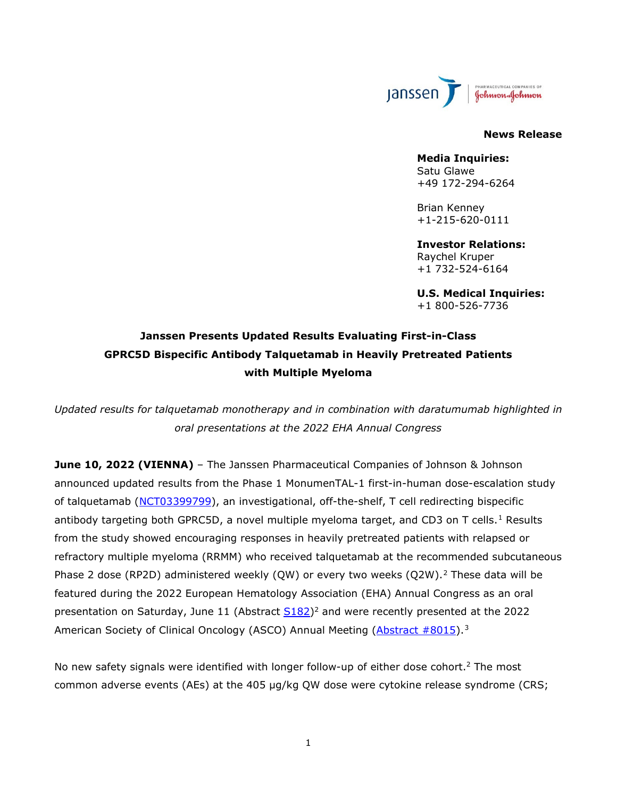

#### **News Release**

**Media Inquiries:** Satu Glawe +49 172-294-6264

Brian Kenney +1-215-620-0111

**Investor Relations:** Raychel Kruper +1 732-524-6164

<span id="page-0-1"></span><span id="page-0-0"></span>**U.S. Medical Inquiries:** +1 800-526-7736

# **Janssen Presents Updated Results Evaluating First-in-Class GPRC5D Bispecific Antibody Talquetamab in Heavily Pretreated Patients with Multiple Myeloma**

*Updated results for talquetamab monotherapy and in combination with daratumumab highlighted in oral presentations at the 2022 EHA Annual Congress*

**June 10, 2022 (VIENNA)** – The Janssen Pharmaceutical Companies of Johnson & Johnson announced updated results from the Phase 1 MonumenTAL-1 first-in-human dose-escalation study of talquetamab [\(NCT03399799\)](https://clinicaltrials.gov/ct2/show/NCT03399799), an investigational, off-the-shelf, T cell redirecting bispecific antibody targeting both GPRC5D, a novel multiple myeloma target, and CD3 on T cells.<sup>[1](#page-9-0)</sup> Results from the study showed encouraging responses in heavily pretreated patients with relapsed or refractory multiple myeloma (RRMM) who received talquetamab at the recommended subcutaneous Phase [2](#page-9-1) dose (RP2D) administered weekly (QW) or every two weeks (Q2W).<sup>2</sup> These data will be featured during the 2022 European Hematology Association (EHA) Annual Congress as an oral presentation on Saturday, June 11 (Abstract  $\text{S182})^2$  $\text{S182})^2$  $\text{S182})^2$  and were recently presented at the 2022 American Society of Clinical Oncology (ASCO) Annual Meeting [\(Abstract #8015\)](https://meetings.asco.org/abstracts-presentations/207307).<sup>[3](#page-9-2)</sup>

No new safety signals were identified with longer follow-up of either dose cohort.<sup>2</sup> The most common adverse events (AEs) at the 405 µg/kg QW dose were cytokine release syndrome (CRS;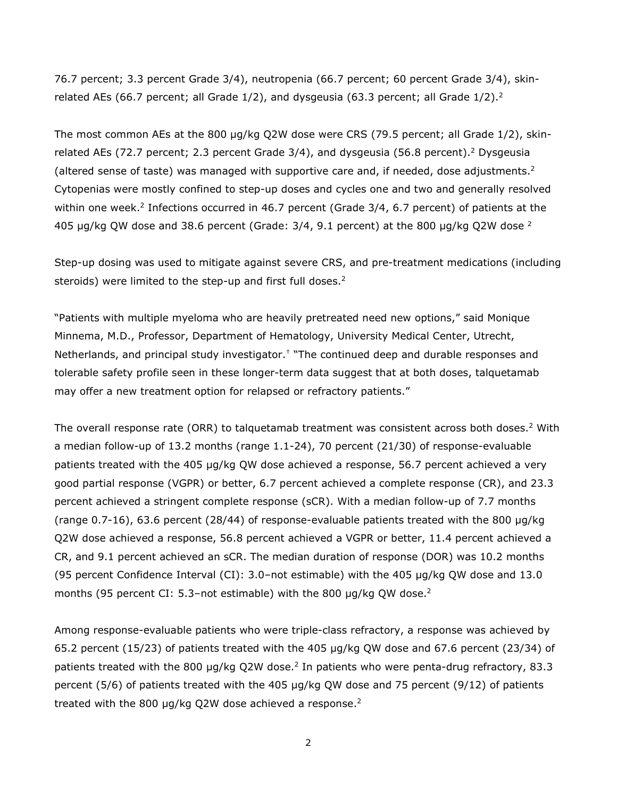76.7 percent; 3.3 percent Grade 3/4), neutropenia (66.7 percent; 60 percent Grade 3/4), skinrelated AEs (66.7 percent; all Grade  $1/2$ ), and dysgeusia (63.3 percent; all Grade  $1/2$ ).<sup>2</sup>

The most common AEs at the 800 µg/kg Q2W dose were CRS (79.5 percent; all Grade 1/2), skinrelated AEs (72.7 percent; 2.3 percent Grade 3/4), and dysgeusia (56.8 percent).<sup>2</sup> Dysgeusia (altered sense of taste) was managed with supportive care and, if needed, dose adjustments.<sup>2</sup> Cytopenias were mostly confined to step-up doses and cycles one and two and generally resolved within one week.<sup>2</sup> Infections occurred in 46.7 percent (Grade 3/4, 6.7 percent) of patients at the 405 μg/kg QW dose and 38.6 percent (Grade:  $3/4$ , 9.1 percent) at the 800 μg/kg Q[2](#page-0-0)W dose <sup>2</sup>

Step-up dosing was used to mitigate against severe CRS, and pre-treatment medications (including steroids) were limited to the step-up and first full doses. $2$ 

"Patients with multiple myeloma who are heavily pretreated need new options," said Monique Minnema, M.D., Professor, Department of Hematology, University Medical Center, Utrecht, Netherlands, and principal study investigator.<sup>†</sup> "The continued deep and durable responses and tolerable safety profile seen in these longer-term data suggest that at both doses, talquetamab may offer a new treatment option for relapsed or refractory patients."

The overall response rate (ORR) to talquetamab treatment was consistent across both doses.<sup>2</sup> With a median follow-up of 13.2 months (range 1.1-24), 70 percent (21/30) of response-evaluable patients treated with the 405 µg/kg QW dose achieved a response, 56.7 percent achieved a very good partial response (VGPR) or better, 6.7 percent achieved a complete response (CR), and 23.3 percent achieved a stringent complete response (sCR). With a median follow-up of 7.7 months (range 0.7-16), 63.6 percent (28/44) of response-evaluable patients treated with the 800 µg/kg Q2W dose achieved a response, 56.8 percent achieved a VGPR or better, 11.4 percent achieved a CR, and 9.1 percent achieved an sCR. The median duration of response (DOR) was 10.2 months (95 percent Confidence Interval (CI): 3.0–not estimable) with the 405 µg/kg QW dose and 13.0 months (95 percent CI: 5.3-not estimable) with the 800  $\mu$ g/kg QW dose.<sup>2</sup>

Among response-evaluable patients who were triple-class refractory, a response was achieved by 65.2 percent (15/23) of patients treated with the 405 µg/kg QW dose and 67.6 percent (23/34) of patients treated with the 800  $\mu$ g/kg Q2W dose.<sup>2</sup> In patients who were penta-drug refractory, 83.3 percent (5/6) of patients treated with the 405 µg/kg QW dose and 75 percent (9/12) of patients treated with the 800  $\mu$ g/kg Q2W dose achieved a response.<sup>2</sup>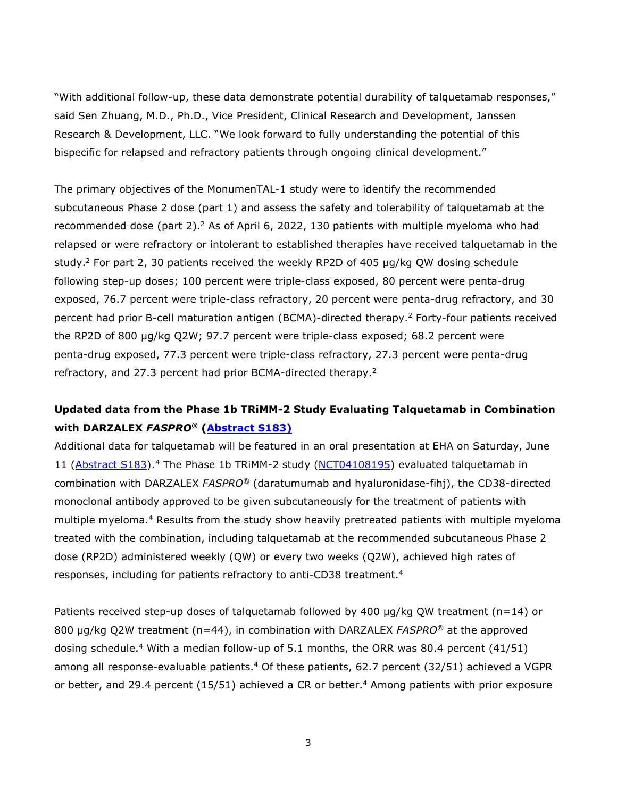"With additional follow-up, these data demonstrate potential durability of talquetamab responses," said Sen Zhuang, M.D., Ph.D., Vice President, Clinical Research and Development, Janssen Research & Development, LLC. "We look forward to fully understanding the potential of this bispecific for relapsed and refractory patients through ongoing clinical development."

The primary objectives of the MonumenTAL-1 study were to identify the recommended subcutaneous Phase 2 dose (part 1) and assess the safety and tolerability of talquetamab at the recommended dose (part 2).<sup>2</sup> As of April 6, 2022, 130 patients with multiple myeloma who had relapsed or were refractory or intolerant to established therapies have received talquetamab in the study.<sup>2</sup> For part 2, 30 patients received the weekly RP2D of 405  $\mu$ g/kg QW dosing schedule following step-up doses; 100 percent were triple-class exposed, 80 percent were penta-drug exposed, 76.7 percent were triple-class refractory, 20 percent were penta-drug refractory, and 30 percent had prior B-cell maturation antigen (BCMA)-directed therapy[.2](#page-0-0) Forty-four patients received the RP2D of 800 µg/kg Q2W; 97.7 percent were triple-class exposed; 68.2 percent were penta-drug exposed, 77.3 percent were triple-class refractory, 27.3 percent were penta-drug refractory, and 27.3 percent had prior BCMA-directed therapy[.2](#page-0-0)

# **Updated data from the Phase 1b TRiMM-2 Study Evaluating Talquetamab in Combination with DARZALEX** *FASPRO®* **[\(Abstract S183\)](https://library.ehaweb.org/eha/2022/eha2022-congress/357047/niels.wjc.van.de.donk.novel.combination.immunotherapy.for.the.treatment.of.html?f=listing%3D0%2Abrowseby%3D8%2Asortby%3D1%2Asearch%3Dtalquetamab.)**

<span id="page-2-0"></span>Additional data for talquetamab will be featured in an oral presentation at EHA on Saturday, June 11 [\(Abstract S183\)](https://library.ehaweb.org/eha/2022/eha2022-congress/357047/niels.wjc.van.de.donk.novel.combination.immunotherapy.for.the.treatment.of.html?f=listing%3D0%2Abrowseby%3D8%2Asortby%3D1%2Asearch%3Dtalquetamab.).<sup>[4](#page-9-3)</sup> The Phase 1b TRiMM-2 study [\(NCT04108195\)](https://www.clinicaltrials.gov/ct2/show/NCT04108195) evaluated talquetamab in combination with DARZALEX *FASPRO®* (daratumumab and hyaluronidase-fihj), the CD38-directed monoclonal antibody approved to be given subcutaneously for the treatment of patients with multiple myeloma.<sup>4</sup> Results from the study show heavily pretreated patients with multiple myeloma treated with the combination, including talquetamab at the recommended subcutaneous Phase 2 dose (RP2D) administered weekly (QW) or every two weeks (Q2W), achieved high rates of responses, including for patients refractory to anti-CD38 treatment[.4](#page-2-0)

Patients received step-up doses of talquetamab followed by 400 µg/kg QW treatment (n=14) or 800 µg/kg Q2W treatment (n=44), in combination with DARZALEX *FASPRO®* at the approved dosing schedule[.4](#page-2-0) With a median follow-up of 5.1 months, the ORR was 80.4 percent (41/51) among all response-evaluable patients.<sup>4</sup> Of these patients, 62.7 percent (32/51) achieved a VGPR or better, and 29[.4](#page-2-0) percent (15/51) achieved a CR or better.<sup>4</sup> Among patients with prior exposure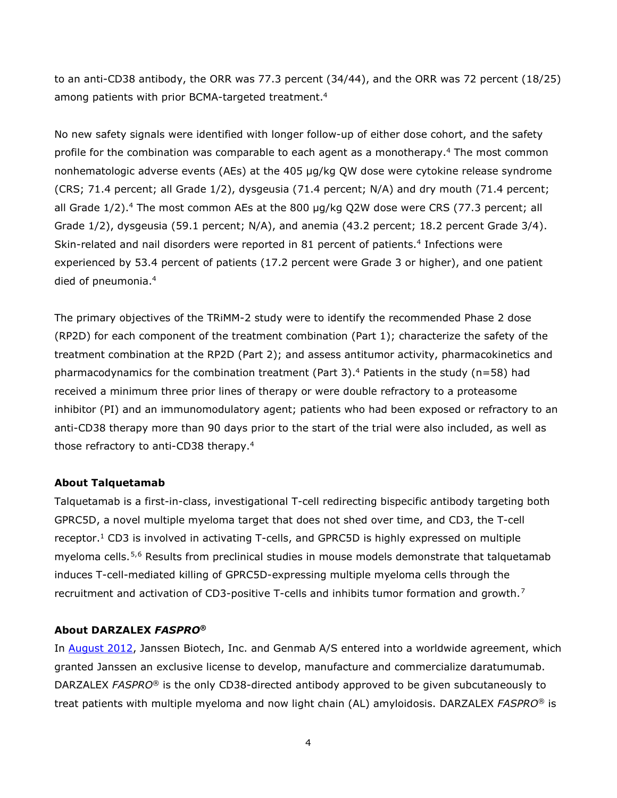to an anti-CD38 antibody, the ORR was 77.3 percent (34/44), and the ORR was 72 percent (18/25) among patients with prior BCMA-targeted treatment.<sup>4</sup>

No new safety signals were identified with longer follow-up of either dose cohort, and the safety profile for the combination was comparable to each agent as a monotherapy[.4](#page-2-0) The most common nonhematologic adverse events (AEs) at the 405 µg/kg QW dose were cytokine release syndrome (CRS; 71.4 percent; all Grade 1/2), dysgeusia (71.4 percent; N/A) and dry mouth (71.4 percent; all Grade  $1/2$ ).<sup>4</sup> The most common AEs at the 800  $\mu$ g/kg Q2W dose were CRS (77.3 percent; all Grade 1/2), dysgeusia (59.1 percent; N/A), and anemia (43.2 percent; 18.2 percent Grade 3/4). Skin-related and nail disorders were reported in 81 percent of patients.<sup>4</sup> Infections were experienced by 53.4 percent of patients (17.2 percent were Grade 3 or higher), and one patient died of pneumonia[.4](#page-2-0)

The primary objectives of the TRiMM-2 study were to identify the recommended Phase 2 dose (RP2D) for each component of the treatment combination (Part 1); characterize the safety of the treatment combination at the RP2D (Part 2); and assess antitumor activity, pharmacokinetics and pharmacodynamics for the combination treatment (Part 3).<sup>4</sup> Patients in the study ( $n=58$ ) had received a minimum three prior lines of therapy or were double refractory to a proteasome inhibitor (PI) and an immunomodulatory agent; patients who had been exposed or refractory to an anti-CD38 therapy more than 90 days prior to the start of the trial were also included, as well as those refractory to anti-CD38 therapy[.4](#page-2-0)

### **About Talquetamab**

Talquetamab is a first-in-class, investigational T-cell redirecting bispecific antibody targeting both GPRC5D, a novel multiple myeloma target that does not shed over time, and CD3, the T-cell receptor.<sup>1</sup> CD3 is involved in activating T-cells, and GPRC5D is highly expressed on multiple myeloma cells.[5,](#page-9-4)[6](#page-9-5) Results from preclinical studies in mouse models demonstrate that talquetamab induces T-cell-mediated killing of GPRC5D-expressing multiple myeloma cells through the recruitment and activation of CD3-positive T-cells and inhibits tumor formation and growth.[7](#page-10-0)

#### **About DARZALEX** *FASPRO***®**

In [August 2012,](https://www.jnj.com/media-center/press-releases/janssen-biotech-announces-global-license-and-development-agreement-for-investigational-anti-cancer-agent-daratumumab) Janssen Biotech, Inc. and Genmab A/S entered into a worldwide agreement, which granted Janssen an exclusive license to develop, manufacture and commercialize daratumumab. DARZALEX *FASPRO*® is the only CD38-directed antibody approved to be given subcutaneously to treat patients with multiple myeloma and now light chain (AL) amyloidosis. DARZALEX *FASPRO*® is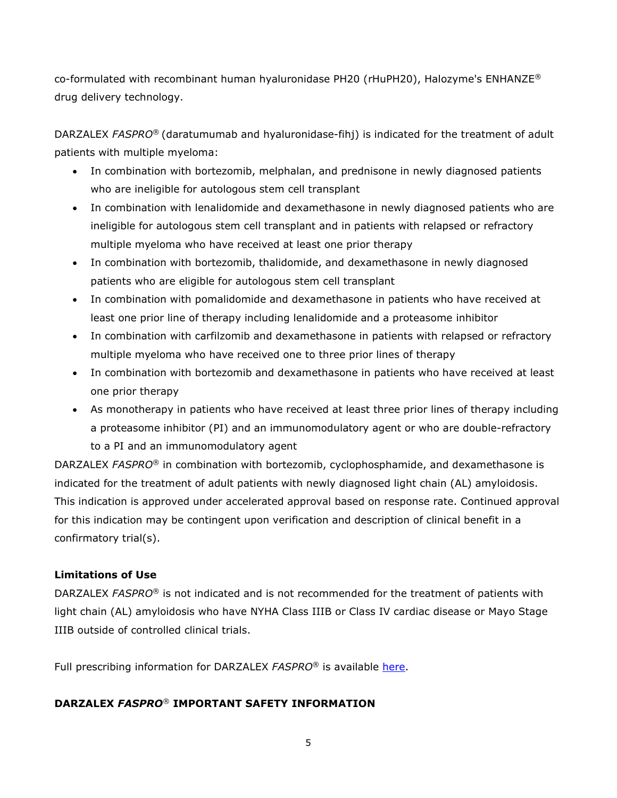co-formulated with recombinant human hyaluronidase PH20 (rHuPH20), Halozyme's ENHANZE® drug delivery technology.

DARZALEX *FASPRO*® (daratumumab and hyaluronidase-fihj) is indicated for the treatment of adult patients with multiple myeloma:

- In combination with bortezomib, melphalan, and prednisone in newly diagnosed patients who are ineligible for autologous stem cell transplant
- In combination with lenalidomide and dexamethasone in newly diagnosed patients who are ineligible for autologous stem cell transplant and in patients with relapsed or refractory multiple myeloma who have received at least one prior therapy
- In combination with bortezomib, thalidomide, and dexamethasone in newly diagnosed patients who are eligible for autologous stem cell transplant
- In combination with pomalidomide and dexamethasone in patients who have received at least one prior line of therapy including lenalidomide and a proteasome inhibitor
- In combination with carfilzomib and dexamethasone in patients with relapsed or refractory multiple myeloma who have received one to three prior lines of therapy
- In combination with bortezomib and dexamethasone in patients who have received at least one prior therapy
- As monotherapy in patients who have received at least three prior lines of therapy including a proteasome inhibitor (PI) and an immunomodulatory agent or who are double-refractory to a PI and an immunomodulatory agent

DARZALEX *FASPRO*® in combination with bortezomib, cyclophosphamide, and dexamethasone is indicated for the treatment of adult patients with newly diagnosed light chain (AL) amyloidosis. This indication is approved under accelerated approval based on response rate. Continued approval for this indication may be contingent upon verification and description of clinical benefit in a confirmatory trial(s).

## **Limitations of Use**

DARZALEX *FASPRO*® is not indicated and is not recommended for the treatment of patients with light chain (AL) amyloidosis who have NYHA Class IIIB or Class IV cardiac disease or Mayo Stage IIIB outside of controlled clinical trials.

Full prescribing information for DARZALEX *FASPRO*® is available [here.](https://www.janssenlabels.com/package-insert/product-monograph/prescribing-information/DARZALEX+Faspro-pi.pdf)

## **DARZALEX** *FASPRO*® **IMPORTANT SAFETY INFORMATION**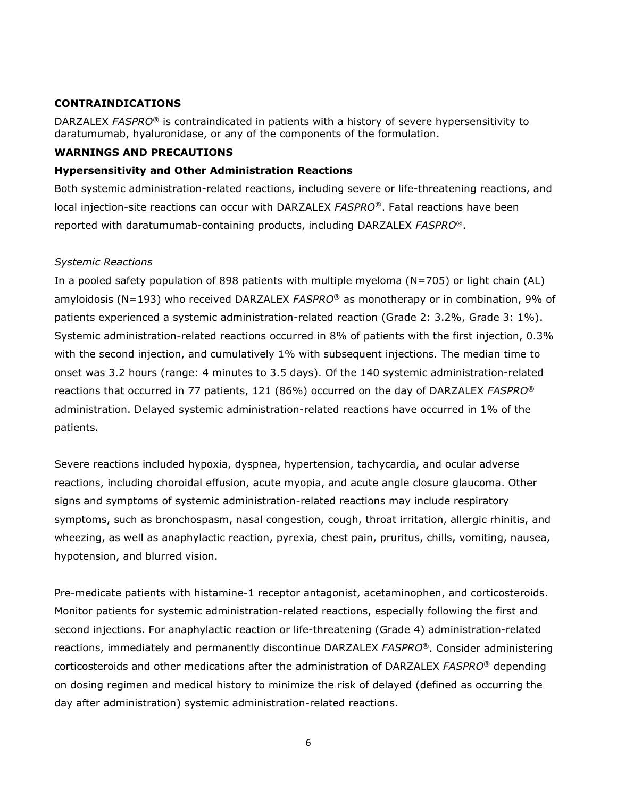## **CONTRAINDICATIONS**

DARZALEX *FASPRO*® is contraindicated in patients with a history of severe hypersensitivity to daratumumab, hyaluronidase, or any of the components of the formulation.

## **WARNINGS AND PRECAUTIONS**

## **Hypersensitivity and Other Administration Reactions**

Both systemic administration-related reactions, including severe or life-threatening reactions, and local injection-site reactions can occur with DARZALEX *FASPRO*®. Fatal reactions have been reported with daratumumab-containing products, including DARZALEX *FASPRO*®.

## *Systemic Reactions*

In a pooled safety population of 898 patients with multiple myeloma (N=705) or light chain (AL) amyloidosis (N=193) who received DARZALEX *FASPRO*® as monotherapy or in combination, 9% of patients experienced a systemic administration-related reaction (Grade 2: 3.2%, Grade 3: 1%). Systemic administration-related reactions occurred in 8% of patients with the first injection, 0.3% with the second injection, and cumulatively 1% with subsequent injections. The median time to onset was 3.2 hours (range: 4 minutes to 3.5 days). Of the 140 systemic administration-related reactions that occurred in 77 patients, 121 (86%) occurred on the day of DARZALEX *FASPRO*® administration. Delayed systemic administration-related reactions have occurred in 1% of the patients.

Severe reactions included hypoxia, dyspnea, hypertension, tachycardia, and ocular adverse reactions, including choroidal effusion, acute myopia, and acute angle closure glaucoma. Other signs and symptoms of systemic administration-related reactions may include respiratory symptoms, such as bronchospasm, nasal congestion, cough, throat irritation, allergic rhinitis, and wheezing, as well as anaphylactic reaction, pyrexia, chest pain, pruritus, chills, vomiting, nausea, hypotension, and blurred vision.

Pre-medicate patients with histamine-1 receptor antagonist, acetaminophen, and corticosteroids. Monitor patients for systemic administration-related reactions, especially following the first and second injections. For anaphylactic reaction or life-threatening (Grade 4) administration-related reactions, immediately and permanently discontinue DARZALEX *FASPRO*®. Consider administering corticosteroids and other medications after the administration of DARZALEX *FASPRO*® depending on dosing regimen and medical history to minimize the risk of delayed (defined as occurring the day after administration) systemic administration-related reactions.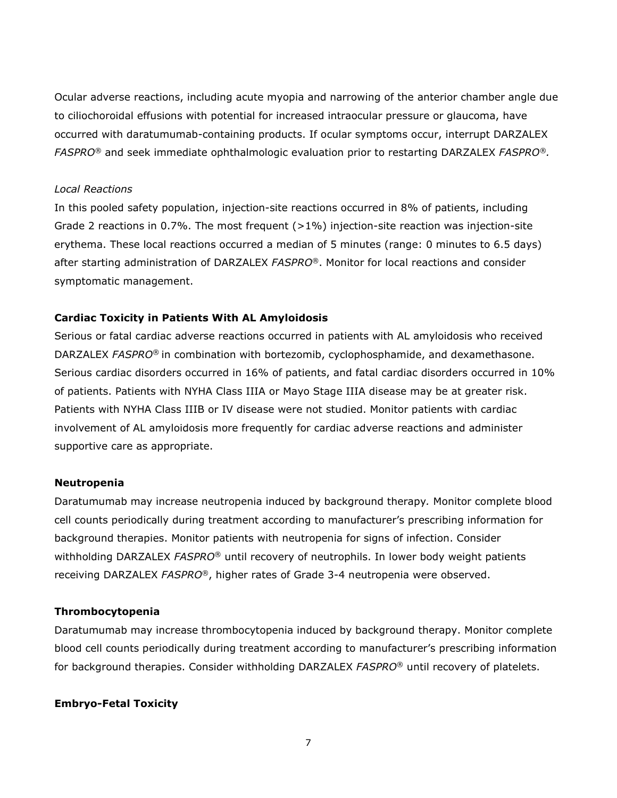Ocular adverse reactions, including acute myopia and narrowing of the anterior chamber angle due to ciliochoroidal effusions with potential for increased intraocular pressure or glaucoma, have occurred with daratumumab-containing products. If ocular symptoms occur, interrupt DARZALEX *FASPRO®* and seek immediate ophthalmologic evaluation prior to restarting DARZALEX *FASPRO®.*

## *Local Reactions*

In this pooled safety population, injection-site reactions occurred in 8% of patients, including Grade 2 reactions in 0.7%. The most frequent (>1%) injection-site reaction was injection-site erythema. These local reactions occurred a median of 5 minutes (range: 0 minutes to 6.5 days) after starting administration of DARZALEX *FASPRO*®. Monitor for local reactions and consider symptomatic management.

## **Cardiac Toxicity in Patients With AL Amyloidosis**

Serious or fatal cardiac adverse reactions occurred in patients with AL amyloidosis who received DARZALEX *FASPRO*® in combination with bortezomib, cyclophosphamide, and dexamethasone. Serious cardiac disorders occurred in 16% of patients, and fatal cardiac disorders occurred in 10% of patients. Patients with NYHA Class IIIA or Mayo Stage IIIA disease may be at greater risk. Patients with NYHA Class IIIB or IV disease were not studied. Monitor patients with cardiac involvement of AL amyloidosis more frequently for cardiac adverse reactions and administer supportive care as appropriate.

#### **Neutropenia**

Daratumumab may increase neutropenia induced by background therapy*.* Monitor complete blood cell counts periodically during treatment according to manufacturer's prescribing information for background therapies. Monitor patients with neutropenia for signs of infection. Consider withholding DARZALEX *FASPRO*® until recovery of neutrophils. In lower body weight patients receiving DARZALEX *FASPRO*®, higher rates of Grade 3-4 neutropenia were observed.

#### **Thrombocytopenia**

Daratumumab may increase thrombocytopenia induced by background therapy. Monitor complete blood cell counts periodically during treatment according to manufacturer's prescribing information for background therapies. Consider withholding DARZALEX *FASPRO*® until recovery of platelets.

## **Embryo-Fetal Toxicity**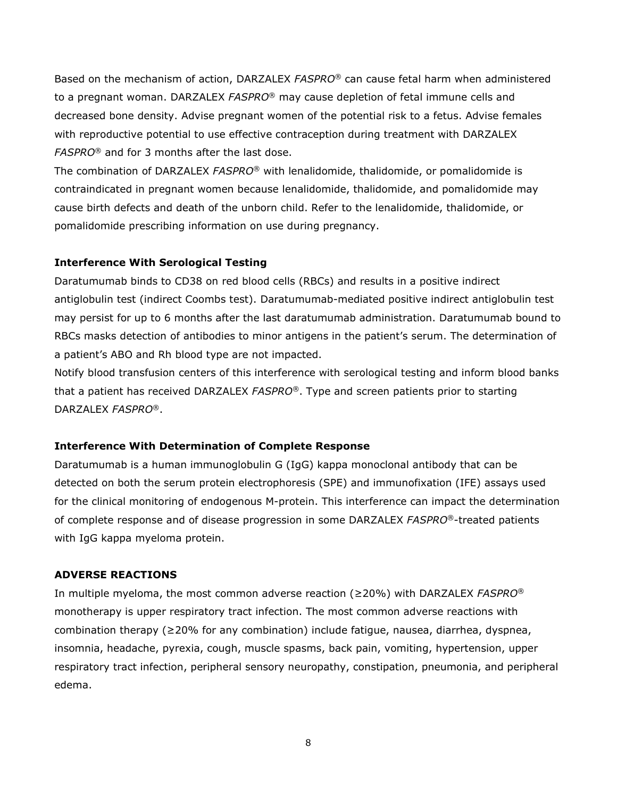Based on the mechanism of action, DARZALEX *FASPRO*® can cause fetal harm when administered to a pregnant woman. DARZALEX *FASPRO*® may cause depletion of fetal immune cells and decreased bone density. Advise pregnant women of the potential risk to a fetus. Advise females with reproductive potential to use effective contraception during treatment with DARZALEX *FASPRO*® and for 3 months after the last dose.

The combination of DARZALEX *FASPRO*® with lenalidomide, thalidomide, or pomalidomide is contraindicated in pregnant women because lenalidomide, thalidomide, and pomalidomide may cause birth defects and death of the unborn child. Refer to the lenalidomide, thalidomide, or pomalidomide prescribing information on use during pregnancy.

### **Interference With Serological Testing**

Daratumumab binds to CD38 on red blood cells (RBCs) and results in a positive indirect antiglobulin test (indirect Coombs test). Daratumumab-mediated positive indirect antiglobulin test may persist for up to 6 months after the last daratumumab administration. Daratumumab bound to RBCs masks detection of antibodies to minor antigens in the patient's serum. The determination of a patient's ABO and Rh blood type are not impacted.

Notify blood transfusion centers of this interference with serological testing and inform blood banks that a patient has received DARZALEX *FASPRO*®. Type and screen patients prior to starting DARZALEX *FASPRO*®.

### **Interference With Determination of Complete Response**

Daratumumab is a human immunoglobulin G (IgG) kappa monoclonal antibody that can be detected on both the serum protein electrophoresis (SPE) and immunofixation (IFE) assays used for the clinical monitoring of endogenous M-protein. This interference can impact the determination of complete response and of disease progression in some DARZALEX *FASPRO*®-treated patients with IgG kappa myeloma protein.

#### **ADVERSE REACTIONS**

In multiple myeloma, the most common adverse reaction (≥20%) with DARZALEX *FASPRO*® monotherapy is upper respiratory tract infection. The most common adverse reactions with combination therapy (≥20% for any combination) include fatigue, nausea, diarrhea, dyspnea, insomnia, headache, pyrexia, cough, muscle spasms, back pain, vomiting, hypertension, upper respiratory tract infection, peripheral sensory neuropathy, constipation, pneumonia, and peripheral edema.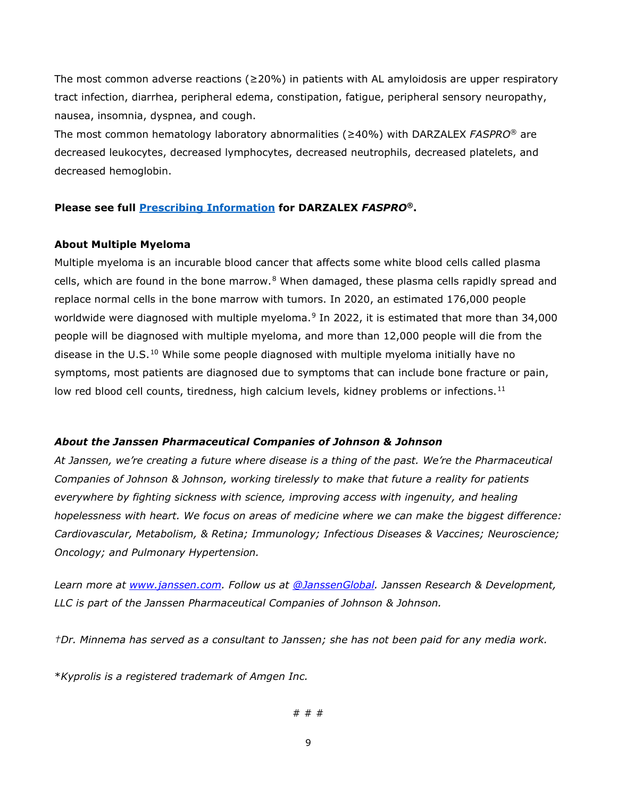The most common adverse reactions ( $\geq$ 20%) in patients with AL amyloidosis are upper respiratory tract infection, diarrhea, peripheral edema, constipation, fatigue, peripheral sensory neuropathy, nausea, insomnia, dyspnea, and cough.

The most common hematology laboratory abnormalities (≥40%) with DARZALEX *FASPRO*® are decreased leukocytes, decreased lymphocytes, decreased neutrophils, decreased platelets, and decreased hemoglobin.

## **Please see full [Prescribing Information](https://www.janssenlabels.com/package-insert/product-monograph/prescribing-information/DARZALEX+Faspro-pi.pdf) for DARZALEX** *FASPRO***®.**

## **About Multiple Myeloma**

Multiple myeloma is an incurable blood cancer that affects some white blood cells called plasma cells, which are found in the bone marrow.<sup>[8](#page-10-1)</sup> When damaged, these plasma cells rapidly spread and replace normal cells in the bone marrow with tumors. In 2020, an estimated 176,000 people worldwide were diagnosed with multiple myeloma.<sup>[9](#page-10-2)</sup> In 2022, it is estimated that more than 34,000 people will be diagnosed with multiple myeloma, and more than 12,000 people will die from the disease in the U.S.<sup>[10](#page-10-3)</sup> While some people diagnosed with multiple myeloma initially have no symptoms, most patients are diagnosed due to symptoms that can include bone fracture or pain, low red blood cell counts, tiredness, high calcium levels, kidney problems or infections.<sup>[11](#page-10-4)</sup>

## *About the Janssen Pharmaceutical Companies of Johnson & Johnson*

*At Janssen, we're creating a future where disease is a thing of the past. We're the Pharmaceutical Companies of Johnson & Johnson, working tirelessly to make that future a reality for patients everywhere by fighting sickness with science, improving access with ingenuity, and healing hopelessness with heart. We focus on areas of medicine where we can make the biggest difference: Cardiovascular, Metabolism, & Retina; Immunology; Infectious Diseases & Vaccines; Neuroscience; Oncology; and Pulmonary Hypertension.*

*Learn more at [www.janssen.com.](https://www.janssen.com/) Follow us at [@JanssenGlobal.](https://twitter.com/JanssenGlobal) Janssen Research & Development, LLC is part of the Janssen Pharmaceutical Companies of Johnson & Johnson.*

*†Dr. Minnema has served as a consultant to Janssen; she has not been paid for any media work.*

\**Kyprolis is a registered trademark of Amgen Inc.*

# # #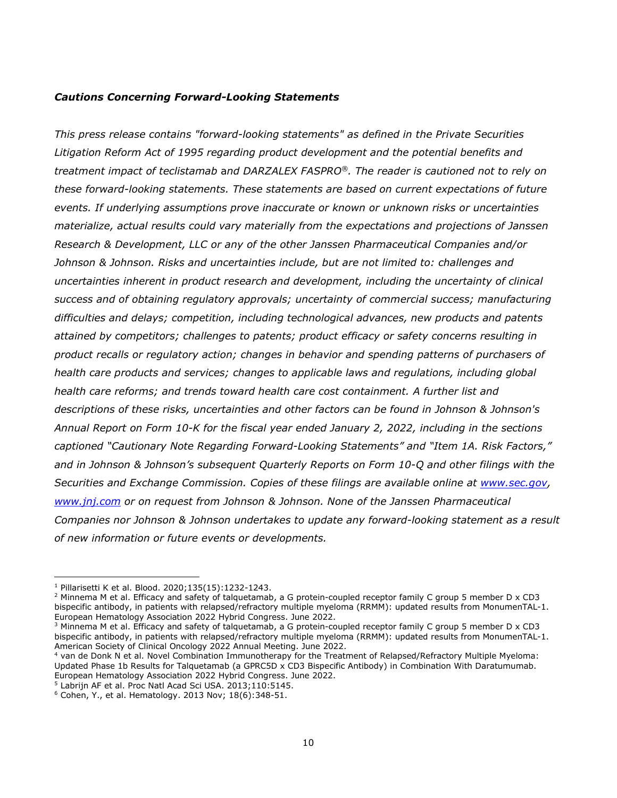## *Cautions Concerning Forward-Looking Statements*

*This press release contains "forward-looking statements" as defined in the Private Securities Litigation Reform Act of 1995 regarding product development and the potential benefits and treatment impact of teclistamab* a*nd DARZALEX FASPRO®. The reader is cautioned not to rely on these forward-looking statements. These statements are based on current expectations of future events. If underlying assumptions prove inaccurate or known or unknown risks or uncertainties materialize, actual results could vary materially from the expectations and projections of Janssen Research & Development, LLC or any of the other Janssen Pharmaceutical Companies and/or Johnson & Johnson. Risks and uncertainties include, but are not limited to: challenges and uncertainties inherent in product research and development, including the uncertainty of clinical success and of obtaining regulatory approvals; uncertainty of commercial success; manufacturing difficulties and delays; competition, including technological advances, new products and patents attained by competitors; challenges to patents; product efficacy or safety concerns resulting in product recalls or regulatory action; changes in behavior and spending patterns of purchasers of health care products and services; changes to applicable laws and regulations, including global health care reforms; and trends toward health care cost containment. A further list and descriptions of these risks, uncertainties and other factors can be found in Johnson & Johnson's Annual Report on Form 10-K for the fiscal year ended January 2, 2022, including in the sections captioned "Cautionary Note Regarding Forward-Looking Statements" and "Item 1A. Risk Factors," and in Johnson & Johnson's subsequent Quarterly Reports on Form 10-Q and other filings with the Securities and Exchange Commission. Copies of these filings are available online at [www.sec.gov,](http://www.sec.gov/) [www.jnj.com](http://www.jnj.com/) or on request from Johnson & Johnson. None of the Janssen Pharmaceutical Companies nor Johnson & Johnson undertakes to update any forward-looking statement as a result of new information or future events or developments.*

<span id="page-9-0"></span><sup>1</sup> Pillarisetti K et al. Blood. 2020;135(15):1232-1243.

<span id="page-9-1"></span> $2$  Minnema M et al. Efficacy and safety of talquetamab, a G protein-coupled receptor family C group 5 member D x CD3 bispecific antibody, in patients with relapsed/refractory multiple myeloma (RRMM): updated results from MonumenTAL-1. European Hematology Association 2022 Hybrid Congress. June 2022.

<span id="page-9-2"></span><sup>3</sup> Minnema M et al. Efficacy and safety of talquetamab, a G protein-coupled receptor family C group 5 member D x CD3 bispecific antibody, in patients with relapsed/refractory multiple myeloma (RRMM): updated results from MonumenTAL-1. American Society of Clinical Oncology 2022 Annual Meeting. June 2022.

<span id="page-9-3"></span><sup>4</sup> van de Donk N et al. Novel Combination Immunotherapy for the Treatment of Relapsed/Refractory Multiple Myeloma: Updated Phase 1b Results for Talquetamab (a GPRC5D x CD3 Bispecific Antibody) in Combination With Daratumumab. European Hematology Association 2022 Hybrid Congress. June 2022.

<span id="page-9-4"></span><sup>5</sup> Labrijn AF et al. Proc Natl Acad Sci USA. 2013;110:5145.

<span id="page-9-5"></span><sup>6</sup> Cohen, Y., et al. Hematology. 2013 Nov; 18(6):348-51.